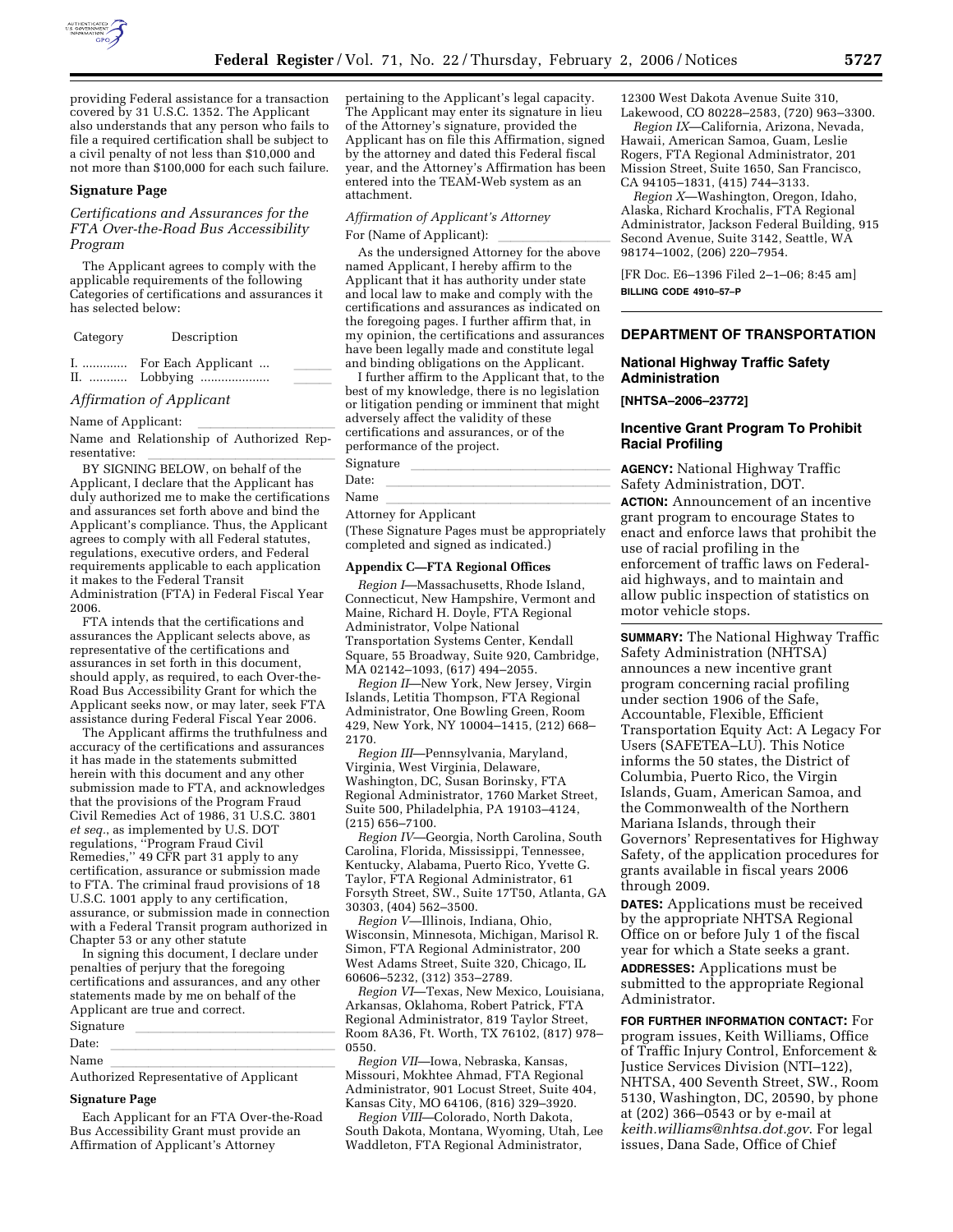

providing Federal assistance for a transaction covered by 31 U.S.C. 1352. The Applicant also understands that any person who fails to file a required certification shall be subject to a civil penalty of not less than \$10,000 and not more than \$100,000 for each such failure.

#### **Signature Page**

# *Certifications and Assurances for the FTA Over-the-Road Bus Accessibility Program*

The Applicant agrees to comply with the applicable requirements of the following Categories of certifications and assurances it has selected below:

| Category | Description                             |  |
|----------|-----------------------------------------|--|
|          | I.  For Each Applicant<br>II.  Lobbying |  |

#### *Affirmation of Applicant*

Name of Applicant:<br>Name and Relationship of Authorized Rep-

resentative:<br>BY SIGNING BELOW, on behalf of the Applicant, I declare that the Applicant has duly authorized me to make the certifications and assurances set forth above and bind the Applicant's compliance. Thus, the Applicant agrees to comply with all Federal statutes, regulations, executive orders, and Federal requirements applicable to each application it makes to the Federal Transit Administration (FTA) in Federal Fiscal Year 2006.

FTA intends that the certifications and assurances the Applicant selects above, as representative of the certifications and assurances in set forth in this document, should apply, as required, to each Over-the-Road Bus Accessibility Grant for which the Applicant seeks now, or may later, seek FTA assistance during Federal Fiscal Year 2006.

The Applicant affirms the truthfulness and accuracy of the certifications and assurances it has made in the statements submitted herein with this document and any other submission made to FTA, and acknowledges that the provisions of the Program Fraud Civil Remedies Act of 1986, 31 U.S.C. 3801 *et seq.*, as implemented by U.S. DOT regulations, ''Program Fraud Civil Remedies,'' 49 CFR part 31 apply to any certification, assurance or submission made to FTA. The criminal fraud provisions of 18 U.S.C. 1001 apply to any certification, assurance, or submission made in connection with a Federal Transit program authorized in Chapter 53 or any other statute

In signing this document, I declare under penalties of perjury that the foregoing certifications and assurances, and any other statements made by me on behalf of the Applicant are true and correct.

# Signature llllllllllllllll Date: llllllllllllllllll

Name llllllllllllllllll Authorized Representative of Applicant

#### **Signature Page**

Each Applicant for an FTA Over-the-Road Bus Accessibility Grant must provide an Affirmation of Applicant's Attorney

pertaining to the Applicant's legal capacity. The Applicant may enter its signature in lieu of the Attorney's signature, provided the Applicant has on file this Affirmation, signed by the attorney and dated this Federal fiscal year, and the Attorney's Affirmation has been entered into the TEAM-Web system as an attachment.

# *Affirmation of Applicant's Attorney*

For (Name of Applicant): lllllllll As the undersigned Attorney for the above named Applicant, I hereby affirm to the Applicant that it has authority under state and local law to make and comply with the certifications and assurances as indicated on the foregoing pages. I further affirm that, in my opinion, the certifications and assurances have been legally made and constitute legal and binding obligations on the Applicant.

I further affirm to the Applicant that, to the best of my knowledge, there is no legislation or litigation pending or imminent that might adversely affect the validity of these certifications and assurances, or of the performance of the project.

Signature<br>Date: Date: llllllllllllllllll

Name llllllllllllllllll Attorney for Applicant

(These Signature Pages must be appropriately completed and signed as indicated.)

#### **Appendix C—FTA Regional Offices**

*Region I*—Massachusetts, Rhode Island, Connecticut, New Hampshire, Vermont and Maine, Richard H. Doyle, FTA Regional Administrator, Volpe National Transportation Systems Center, Kendall Square, 55 Broadway, Suite 920, Cambridge, MA 02142–1093, (617) 494–2055.

*Region II*—New York, New Jersey, Virgin Islands, Letitia Thompson, FTA Regional Administrator, One Bowling Green, Room 429, New York, NY 10004–1415, (212) 668– 2170.

*Region III*—Pennsylvania, Maryland, Virginia, West Virginia, Delaware, Washington, DC, Susan Borinsky, FTA Regional Administrator, 1760 Market Street, Suite 500, Philadelphia, PA 19103–4124, (215) 656–7100.

*Region IV*—Georgia, North Carolina, South Carolina, Florida, Mississippi, Tennessee, Kentucky, Alabama, Puerto Rico, Yvette G. Taylor, FTA Regional Administrator, 61 Forsyth Street, SW., Suite 17T50, Atlanta, GA 30303, (404) 562–3500.

*Region V*—Illinois, Indiana, Ohio, Wisconsin, Minnesota, Michigan, Marisol R. Simon, FTA Regional Administrator, 200 West Adams Street, Suite 320, Chicago, IL 60606–5232, (312) 353–2789.

*Region VI*—Texas, New Mexico, Louisiana, Arkansas, Oklahoma, Robert Patrick, FTA Regional Administrator, 819 Taylor Street, Room 8A36, Ft. Worth, TX 76102, (817) 978– 0550.

*Region VII*—Iowa, Nebraska, Kansas, Missouri, Mokhtee Ahmad, FTA Regional Administrator, 901 Locust Street, Suite 404, Kansas City, MO 64106, (816) 329–3920.

*Region VIII*—Colorado, North Dakota, South Dakota, Montana, Wyoming, Utah, Lee Waddleton, FTA Regional Administrator,

12300 West Dakota Avenue Suite 310, Lakewood, CO 80228–2583, (720) 963–3300.

*Region IX*—California, Arizona, Nevada, Hawaii, American Samoa, Guam, Leslie Rogers, FTA Regional Administrator, 201 Mission Street, Suite 1650, San Francisco, CA 94105–1831, (415) 744–3133.

*Region X*—Washington, Oregon, Idaho, Alaska, Richard Krochalis, FTA Regional Administrator, Jackson Federal Building, 915 Second Avenue, Suite 3142, Seattle, WA 98174–1002, (206) 220–7954.

[FR Doc. E6–1396 Filed 2–1–06; 8:45 am] **BILLING CODE 4910–57–P** 

#### **DEPARTMENT OF TRANSPORTATION**

#### **National Highway Traffic Safety Administration**

**[NHTSA–2006–23772]** 

#### **Incentive Grant Program To Prohibit Racial Profiling**

**AGENCY:** National Highway Traffic Safety Administration, DOT. **ACTION:** Announcement of an incentive grant program to encourage States to enact and enforce laws that prohibit the use of racial profiling in the enforcement of traffic laws on Federalaid highways, and to maintain and allow public inspection of statistics on motor vehicle stops.

**SUMMARY:** The National Highway Traffic Safety Administration (NHTSA) announces a new incentive grant program concerning racial profiling under section 1906 of the Safe, Accountable, Flexible, Efficient Transportation Equity Act: A Legacy For Users (SAFETEA–LU). This Notice informs the 50 states, the District of Columbia, Puerto Rico, the Virgin Islands, Guam, American Samoa, and the Commonwealth of the Northern Mariana Islands, through their Governors' Representatives for Highway Safety, of the application procedures for grants available in fiscal years 2006 through 2009.

**DATES:** Applications must be received by the appropriate NHTSA Regional Office on or before July 1 of the fiscal year for which a State seeks a grant. **ADDRESSES:** Applications must be submitted to the appropriate Regional Administrator.

**FOR FURTHER INFORMATION CONTACT:** For program issues, Keith Williams, Office of Traffic Injury Control, Enforcement & Justice Services Division (NTI–122), NHTSA, 400 Seventh Street, SW., Room 5130, Washington, DC, 20590, by phone at (202) 366–0543 or by e-mail at *keith.williams@nhtsa.dot.gov*. For legal issues, Dana Sade, Office of Chief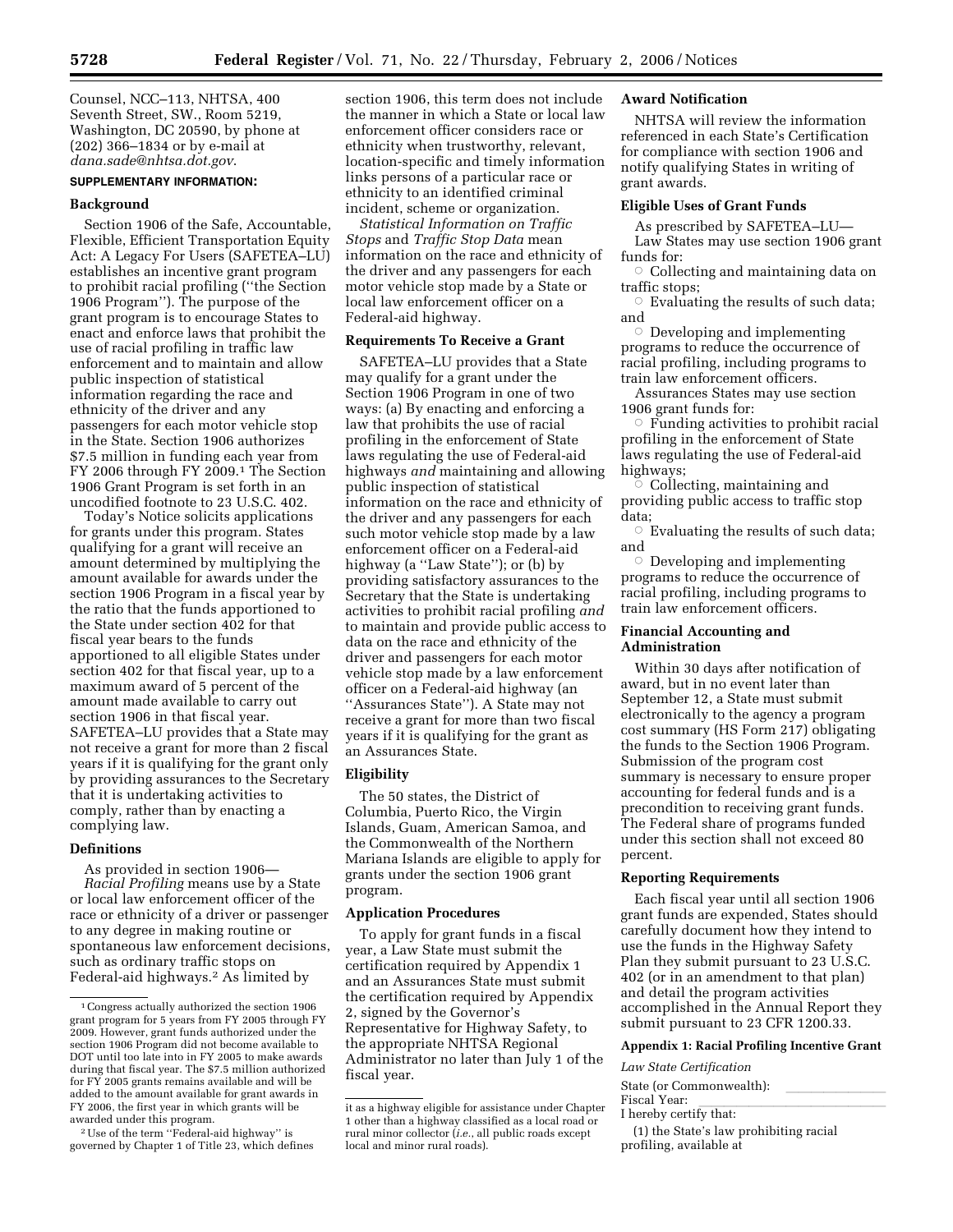Counsel, NCC–113, NHTSA, 400 Seventh Street, SW., Room 5219, Washington, DC 20590, by phone at (202) 366–1834 or by e-mail at *dana.sade@nhtsa.dot.gov*.

#### **SUPPLEMENTARY INFORMATION:**

# **Background**

Section 1906 of the Safe, Accountable, Flexible, Efficient Transportation Equity Act: A Legacy For Users (SAFETEA–LU) establishes an incentive grant program to prohibit racial profiling (''the Section 1906 Program''). The purpose of the grant program is to encourage States to enact and enforce laws that prohibit the use of racial profiling in traffic law enforcement and to maintain and allow public inspection of statistical information regarding the race and ethnicity of the driver and any passengers for each motor vehicle stop in the State. Section 1906 authorizes \$7.5 million in funding each year from FY 2006 through FY 2009.<sup>1</sup> The Section 1906 Grant Program is set forth in an uncodified footnote to 23 U.S.C. 402.

Today's Notice solicits applications for grants under this program. States qualifying for a grant will receive an amount determined by multiplying the amount available for awards under the section 1906 Program in a fiscal year by the ratio that the funds apportioned to the State under section 402 for that fiscal year bears to the funds apportioned to all eligible States under section 402 for that fiscal year, up to a maximum award of 5 percent of the amount made available to carry out section 1906 in that fiscal year. SAFETEA–LU provides that a State may not receive a grant for more than 2 fiscal years if it is qualifying for the grant only by providing assurances to the Secretary that it is undertaking activities to comply, rather than by enacting a complying law.

#### **Definitions**

As provided in section 1906— *Racial Profiling* means use by a State or local law enforcement officer of the race or ethnicity of a driver or passenger to any degree in making routine or spontaneous law enforcement decisions, such as ordinary traffic stops on Federal-aid highways.<sup>2</sup> As limited by

2Use of the term ''Federal-aid highway'' is governed by Chapter 1 of Title 23, which defines

section 1906, this term does not include the manner in which a State or local law enforcement officer considers race or ethnicity when trustworthy, relevant, location-specific and timely information links persons of a particular race or ethnicity to an identified criminal incident, scheme or organization.

*Statistical Information on Traffic Stops* and *Traffic Stop Data* mean information on the race and ethnicity of the driver and any passengers for each motor vehicle stop made by a State or local law enforcement officer on a Federal-aid highway.

#### **Requirements To Receive a Grant**

SAFETEA–LU provides that a State may qualify for a grant under the Section 1906 Program in one of two ways: (a) By enacting and enforcing a law that prohibits the use of racial profiling in the enforcement of State laws regulating the use of Federal-aid highways *and* maintaining and allowing public inspection of statistical information on the race and ethnicity of the driver and any passengers for each such motor vehicle stop made by a law enforcement officer on a Federal-aid highway (a "Law State"); or (b) by providing satisfactory assurances to the Secretary that the State is undertaking activities to prohibit racial profiling *and*  to maintain and provide public access to data on the race and ethnicity of the driver and passengers for each motor vehicle stop made by a law enforcement officer on a Federal-aid highway (an ''Assurances State''). A State may not receive a grant for more than two fiscal years if it is qualifying for the grant as an Assurances State.

#### **Eligibility**

The 50 states, the District of Columbia, Puerto Rico, the Virgin Islands, Guam, American Samoa, and the Commonwealth of the Northern Mariana Islands are eligible to apply for grants under the section 1906 grant program.

#### **Application Procedures**

To apply for grant funds in a fiscal year, a Law State must submit the certification required by Appendix 1 and an Assurances State must submit the certification required by Appendix 2, signed by the Governor's Representative for Highway Safety, to the appropriate NHTSA Regional Administrator no later than July 1 of the fiscal year.

# **Award Notification**

NHTSA will review the information referenced in each State's Certification for compliance with section 1906 and notify qualifying States in writing of grant awards.

#### **Eligible Uses of Grant Funds**

As prescribed by SAFETEA–LU— Law States may use section 1906 grant funds for:

 $\circ$  Collecting and maintaining data on traffic stops;

 $\circ$  Evaluating the results of such data; and

 $\circ$  Developing and implementing programs to reduce the occurrence of racial profiling, including programs to train law enforcement officers.

Assurances States may use section 1906 grant funds for:

 $\circ$  Funding activities to prohibit racial profiling in the enforcement of State laws regulating the use of Federal-aid highways;

 $\degree$  Collecting, maintaining and providing public access to traffic stop data;

 $\circ$  Evaluating the results of such data; and

 $\circ$  Developing and implementing programs to reduce the occurrence of racial profiling, including programs to train law enforcement officers.

## **Financial Accounting and Administration**

Within 30 days after notification of award, but in no event later than September 12, a State must submit electronically to the agency a program cost summary (HS Form 217) obligating the funds to the Section 1906 Program. Submission of the program cost summary is necessary to ensure proper accounting for federal funds and is a precondition to receiving grant funds. The Federal share of programs funded under this section shall not exceed 80 percent.

#### **Reporting Requirements**

Each fiscal year until all section 1906 grant funds are expended, States should carefully document how they intend to use the funds in the Highway Safety Plan they submit pursuant to 23 U.S.C. 402 (or in an amendment to that plan) and detail the program activities accomplished in the Annual Report they submit pursuant to 23 CFR 1200.33.

#### **Appendix 1: Racial Profiling Incentive Grant**

*Law State Certification* 

State (or Commonwealth):<br>Fiscal Year: Fiscal Year: lletter and the settlem in the settlem in the settlem in the settlem in the settlem in the settle<br>I hereby certify that:

(1) the State's law prohibiting racial profiling, available at

<sup>1</sup>Congress actually authorized the section 1906 grant program for 5 years from FY 2005 through FY 2009. However, grant funds authorized under the section 1906 Program did not become available to DOT until too late into in FY 2005 to make awards during that fiscal year. The \$7.5 million authorized for FY 2005 grants remains available and will be added to the amount available for grant awards in FY 2006, the first year in which grants will be awarded under this program.

it as a highway eligible for assistance under Chapter 1 other than a highway classified as a local road or rural minor collector (*i.e.*, all public roads except local and minor rural roads).